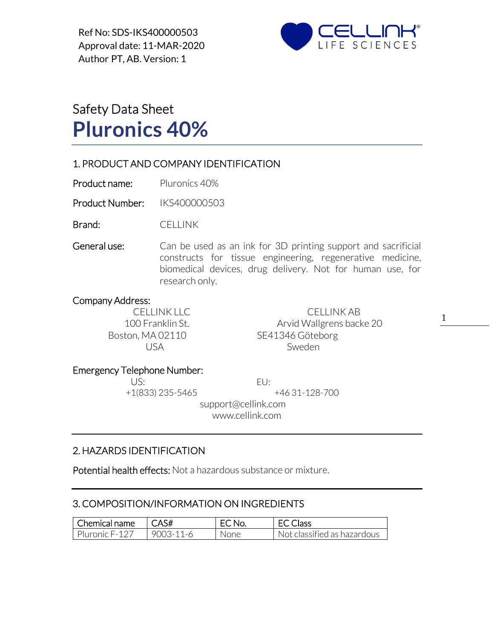Ref No: SDS-IKS400000503 Approval date: 11-MAR-2020 Author PT, AB. Version: 1



# Safety Data Sheet **Pluronics 40%**

## 1. PRODUCT AND COMPANY IDENTIFICATION

Product name: Pluronics 40%

Product Number: IKS400000503

Brand: CELLINK

General use: Can be used as an ink for 3D printing support and sacrificial constructs for tissue engineering, regenerative medicine, biomedical devices, drug delivery. Not for human use, for research only.

#### Company Address:

CELLINK LLC CELLINK AB 100 Franklin St. **Arvid Wallgrens backe 20** Boston, MA 02110 SE41346 Göteborg USA Sweden

1

#### Emergency Telephone Number:

US: EU:

+1(833) 235-5465 +46 31-128-700

 support@cellink.com www.cellink.com

## 2. HAZARDS IDENTIFICATION

Potential health effects: Not a hazardous substance or mixture.

## 3. COMPOSITION/INFORMATION ON INGREDIENTS

| Chemical name  | l CAS#          | EC No. | <b>EC Class</b>             |
|----------------|-----------------|--------|-----------------------------|
| Pluronic F-127 | $9003 - 11 - 6$ | None   | Not classified as hazardous |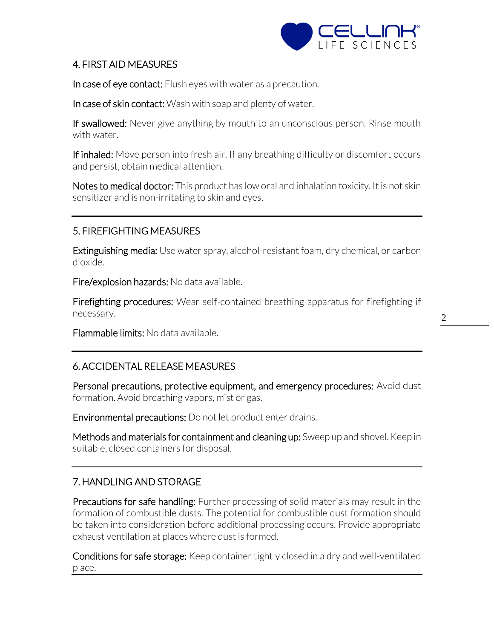

## 4. FIRST AID MEASURES

In case of eye contact: Flush eyes with water as a precaution.

In case of skin contact: Wash with soap and plenty of water.

If swallowed: Never give anything by mouth to an unconscious person. Rinse mouth with water.

If inhaled: Move person into fresh air. If any breathing difficulty or discomfort occurs and persist, obtain medical attention.

Notes to medical doctor: This product has low oral and inhalation toxicity. It is not skin sensitizer and is non-irritating to skin and eyes.

# 5. FIREFIGHTING MEASURES

Extinguishing media: Use water spray, alcohol-resistant foam, dry chemical, or carbon dioxide.

Fire/explosion hazards: No data available.

Firefighting procedures: Wear self-contained breathing apparatus for firefighting if necessary.

Flammable limits: No data available.

# 6. ACCIDENTAL RELEASE MEASURES

Personal precautions, protective equipment, and emergency procedures: Avoid dust formation. Avoid breathing vapors, mist or gas.

Environmental precautions: Do not let product enter drains.

Methods and materials for containment and cleaning up: Sweep up and shovel. Keep in suitable, closed containers for disposal.

# 7. HANDLING AND STORAGE

Precautions for safe handling: Further processing of solid materials may result in the formation of combustible dusts. The potential for combustible dust formation should be taken into consideration before additional processing occurs. Provide appropriate exhaust ventilation at places where dust is formed.

Conditions for safe storage: Keep container tightly closed in a dry and well-ventilated place.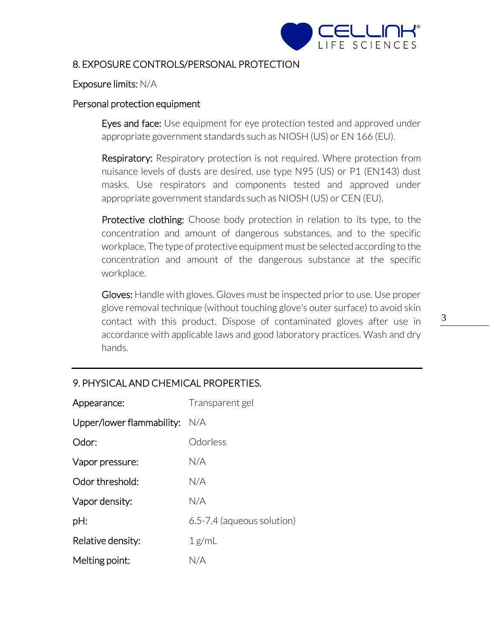

## 8. EXPOSURE CONTROLS/PERSONAL PROTECTION

#### Exposure limits: N/A

#### Personal protection equipment

Eyes and face: Use equipment for eye protection tested and approved under appropriate government standards such as NIOSH (US) or EN 166 (EU).

**Respiratory:** Respiratory protection is not required. Where protection from nuisance levels of dusts are desired, use type N95 (US) or P1 (EN143) dust masks. Use respirators and components tested and approved under appropriate government standards such as NIOSH (US) or CEN (EU).

**Protective clothing:** Choose body protection in relation to its type, to the concentration and amount of dangerous substances, and to the specific workplace. The type of protective equipment must be selected according to the concentration and amount of the dangerous substance at the specific workplace.

Gloves: Handle with gloves. Gloves must be inspected prior to use. Use proper glove removal technique (without touching glove's outer surface) to avoid skin contact with this product. Dispose of contaminated gloves after use in accordance with applicable laws and good laboratory practices. Wash and dry hands.

## 9. PHYSICAL AND CHEMICAL PROPERTIES.

| Appearance:                   | Transparent gel            |
|-------------------------------|----------------------------|
| Upper/lower flammability: N/A |                            |
| Odor:                         | Odorless                   |
| Vapor pressure:               | N/A                        |
| Odor threshold:               | N/A                        |
| Vapor density:                | N/A                        |
| pH:                           | 6.5-7.4 (aqueous solution) |
| Relative density:             | 1 g/mL                     |
| Melting point:                | N/A                        |

3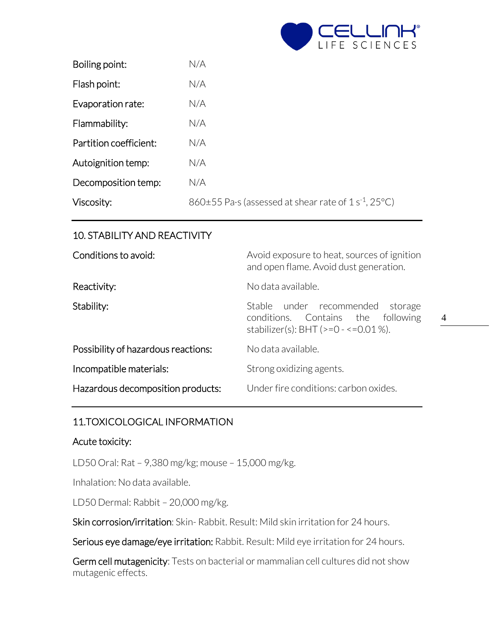

4

| Boiling point:         | N/A                                                                           |
|------------------------|-------------------------------------------------------------------------------|
| Flash point:           | N/A                                                                           |
| Evaporation rate:      | N/A                                                                           |
| Flammability:          | N/A                                                                           |
| Partition coefficient: | N/A                                                                           |
| Autoignition temp:     | N/A                                                                           |
| Decomposition temp:    | N/A                                                                           |
| Viscosity:             | $860\pm55$ Pa $\cdot$ s (assessed at shear rate of 1 s <sup>-1</sup> , 25 °C) |

# 10. STABILITY AND REACTIVITY

| Conditions to avoid:                | Avoid exposure to heat, sources of ignition<br>and open flame. Avoid dust generation.                                  |  |
|-------------------------------------|------------------------------------------------------------------------------------------------------------------------|--|
| Reactivity:                         | No data available.                                                                                                     |  |
| Stability:                          | Stable under recommended<br>storage<br>conditions. Contains the following<br>stabilizer(s): BHT ( $>=0$ - $<=0.01$ %). |  |
| Possibility of hazardous reactions: | No data available.                                                                                                     |  |
| Incompatible materials:             | Strong oxidizing agents.                                                                                               |  |
| Hazardous decomposition products:   | Under fire conditions: carbon oxides.                                                                                  |  |

## 11.TOXICOLOGICAL INFORMATION

#### Acute toxicity:

LD50 Oral: Rat – 9,380 mg/kg; mouse – 15,000 mg/kg.

Inhalation: No data available.

LD50 Dermal: Rabbit – 20,000 mg/kg.

Skin corrosion/irritation: Skin- Rabbit. Result: Mild skin irritation for 24 hours.

Serious eye damage/eye irritation: Rabbit. Result: Mild eye irritation for 24 hours.

Germ cell mutagenicity: Tests on bacterial or mammalian cell cultures did not show mutagenic effects.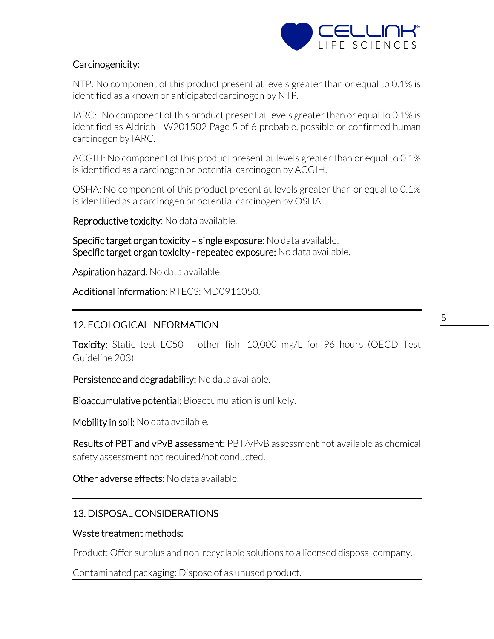

## Carcinogenicity:

NTP: No component of this product present at levels greater than or equal to 0.1% is identified as a known or anticipated carcinogen by NTP.

IARC: No component of this product present at levels greater than or equal to 0.1% is identified as Aldrich - W201502 Page 5 of 6 probable, possible or confirmed human carcinogen by IARC.

ACGIH: No component of this product present at levels greater than or equal to 0.1% is identified as a carcinogen or potential carcinogen by ACGIH.

OSHA: No component of this product present at levels greater than or equal to 0.1% is identified as a carcinogen or potential carcinogen by OSHA.

Reproductive toxicity: No data available.

Specific target organ toxicity – single exposure: No data available. Specific target organ toxicity - repeated exposure: No data available.

Aspiration hazard: No data available.

Additional information: RTECS: MD0911050.

# 12. ECOLOGICAL INFORMATION

Toxicity: Static test LC50 - other fish: 10,000 mg/L for 96 hours (OECD Test Guideline 203).

Persistence and degradability: No data available.

Bioaccumulative potential: Bioaccumulation is unlikely.

Mobility in soil: No data available.

Results of PBT and vPvB assessment: PBT/vPvB assessment not available as chemical safety assessment not required/not conducted.

Other adverse effects: No data available.

# 13. DISPOSAL CONSIDERATIONS

## Waste treatment methods:

Product: Offer surplus and non-recyclable solutions to a licensed disposal company.

Contaminated packaging: Dispose of as unused product.

5